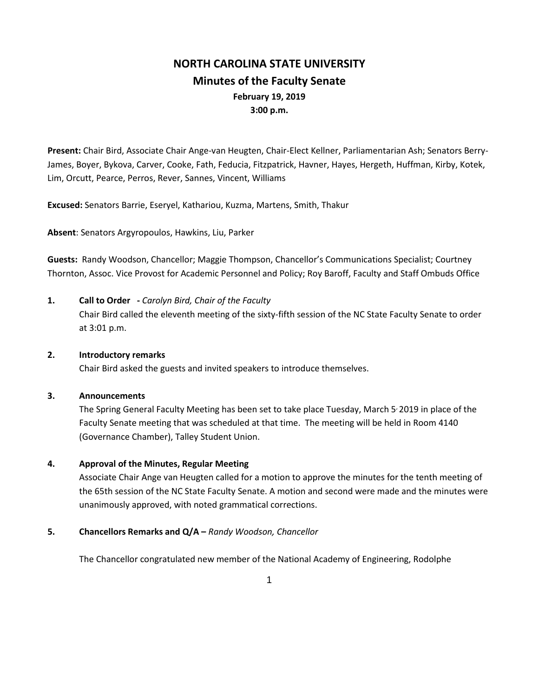# **NORTH CAROLINA STATE UNIVERSITY Minutes of the Faculty Senate February 19, 2019 3:00 p.m.**

**Present:** Chair Bird, Associate Chair Ange-van Heugten, Chair-Elect Kellner, Parliamentarian Ash; Senators Berry-James, Boyer, Bykova, Carver, Cooke, Fath, Feducia, Fitzpatrick, Havner, Hayes, Hergeth, Huffman, Kirby, Kotek, Lim, Orcutt, Pearce, Perros, Rever, Sannes, Vincent, Williams

**Excused:** Senators Barrie, Eseryel, Kathariou, Kuzma, Martens, Smith, Thakur

**Absent**: Senators Argyropoulos, Hawkins, Liu, Parker

**Guests:** Randy Woodson, Chancellor; Maggie Thompson, Chancellor's Communications Specialist; Courtney Thornton, Assoc. Vice Provost for Academic Personnel and Policy; Roy Baroff, Faculty and Staff Ombuds Office

**1. Call to Order -** *Carolyn Bird, Chair of the Faculty* Chair Bird called the eleventh meeting of the sixty-fifth session of the NC State Faculty Senate to order at 3:01 p.m.

#### **2. Introductory remarks**

Chair Bird asked the guests and invited speakers to introduce themselves.

## **3. Announcements**

The Spring General Faculty Meeting has been set to take place Tuesday, March 5<sup>,</sup> 2019 in place of the Faculty Senate meeting that was scheduled at that time. The meeting will be held in Room 4140 (Governance Chamber), Talley Student Union.

# **4. Approval of the Minutes, Regular Meeting**

Associate Chair Ange van Heugten called for a motion to approve the minutes for the tenth meeting of the 65th session of the NC State Faculty Senate. A motion and second were made and the minutes were unanimously approved, with noted grammatical corrections.

# **5. Chancellors Remarks and Q/A –** *Randy Woodson, Chancellor*

The Chancellor congratulated new member of the National Academy of Engineering, Rodolphe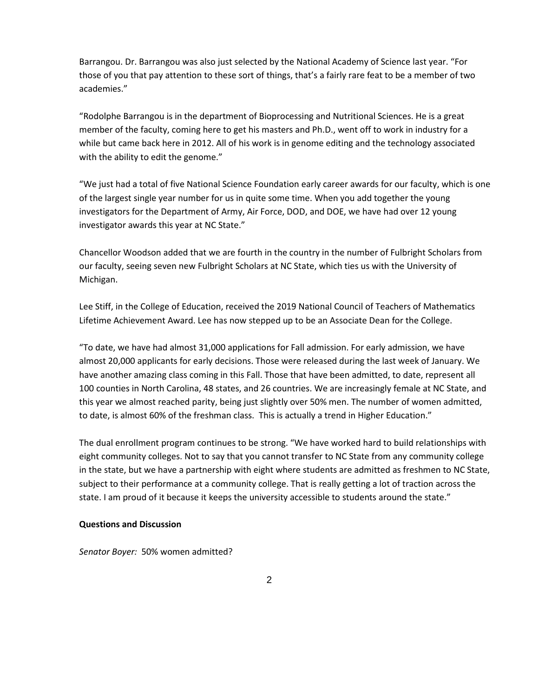Barrangou. Dr. Barrangou was also just selected by the National Academy of Science last year. "For those of you that pay attention to these sort of things, that's a fairly rare feat to be a member of two academies."

"Rodolphe Barrangou is in the department of Bioprocessing and Nutritional Sciences. He is a great member of the faculty, coming here to get his masters and Ph.D., went off to work in industry for a while but came back here in 2012. All of his work is in genome editing and the technology associated with the ability to edit the genome."

"We just had a total of five National Science Foundation early career awards for our faculty, which is one of the largest single year number for us in quite some time. When you add together the young investigators for the Department of Army, Air Force, DOD, and DOE, we have had over 12 young investigator awards this year at NC State."

Chancellor Woodson added that we are fourth in the country in the number of Fulbright Scholars from our faculty, seeing seven new Fulbright Scholars at NC State, which ties us with the University of Michigan.

Lee Stiff, in the College of Education, received the 2019 National Council of Teachers of Mathematics Lifetime Achievement Award. Lee has now stepped up to be an Associate Dean for the College.

"To date, we have had almost 31,000 applications for Fall admission. For early admission, we have almost 20,000 applicants for early decisions. Those were released during the last week of January. We have another amazing class coming in this Fall. Those that have been admitted, to date, represent all 100 counties in North Carolina, 48 states, and 26 countries. We are increasingly female at NC State, and this year we almost reached parity, being just slightly over 50% men. The number of women admitted, to date, is almost 60% of the freshman class. This is actually a trend in Higher Education."

The dual enrollment program continues to be strong. "We have worked hard to build relationships with eight community colleges. Not to say that you cannot transfer to NC State from any community college in the state, but we have a partnership with eight where students are admitted as freshmen to NC State, subject to their performance at a community college. That is really getting a lot of traction across the state. I am proud of it because it keeps the university accessible to students around the state."

#### **Questions and Discussion**

*Senator Boyer:* 50% women admitted?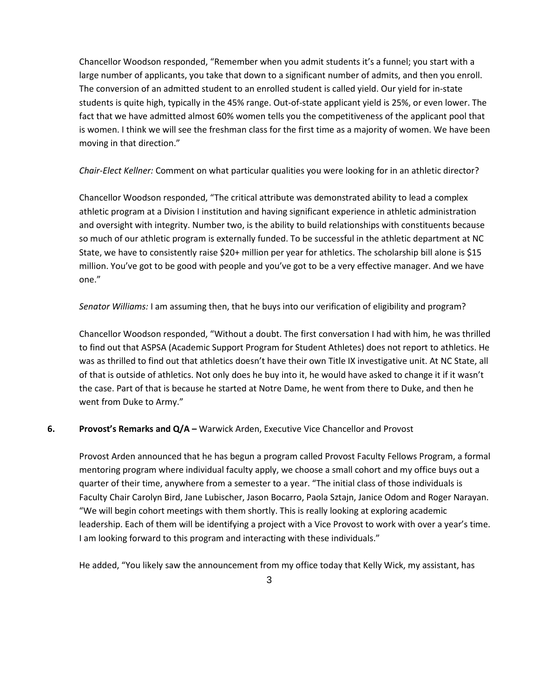Chancellor Woodson responded, "Remember when you admit students it's a funnel; you start with a large number of applicants, you take that down to a significant number of admits, and then you enroll. The conversion of an admitted student to an enrolled student is called yield. Our yield for in-state students is quite high, typically in the 45% range. Out-of-state applicant yield is 25%, or even lower. The fact that we have admitted almost 60% women tells you the competitiveness of the applicant pool that is women. I think we will see the freshman class for the first time as a majority of women. We have been moving in that direction."

*Chair-Elect Kellner:* Comment on what particular qualities you were looking for in an athletic director?

Chancellor Woodson responded, "The critical attribute was demonstrated ability to lead a complex athletic program at a Division I institution and having significant experience in athletic administration and oversight with integrity. Number two, is the ability to build relationships with constituents because so much of our athletic program is externally funded. To be successful in the athletic department at NC State, we have to consistently raise \$20+ million per year for athletics. The scholarship bill alone is \$15 million. You've got to be good with people and you've got to be a very effective manager. And we have one."

*Senator Williams:* I am assuming then, that he buys into our verification of eligibility and program?

Chancellor Woodson responded, "Without a doubt. The first conversation I had with him, he was thrilled to find out that ASPSA (Academic Support Program for Student Athletes) does not report to athletics. He was as thrilled to find out that athletics doesn't have their own Title IX investigative unit. At NC State, all of that is outside of athletics. Not only does he buy into it, he would have asked to change it if it wasn't the case. Part of that is because he started at Notre Dame, he went from there to Duke, and then he went from Duke to Army."

# **6. Provost's Remarks and Q/A –** Warwick Arden, Executive Vice Chancellor and Provost

Provost Arden announced that he has begun a program called Provost Faculty Fellows Program, a formal mentoring program where individual faculty apply, we choose a small cohort and my office buys out a quarter of their time, anywhere from a semester to a year. "The initial class of those individuals is Faculty Chair Carolyn Bird, Jane Lubischer, Jason Bocarro, Paola Sztajn, Janice Odom and Roger Narayan. "We will begin cohort meetings with them shortly. This is really looking at exploring academic leadership. Each of them will be identifying a project with a Vice Provost to work with over a year's time. I am looking forward to this program and interacting with these individuals."

He added, "You likely saw the announcement from my office today that Kelly Wick, my assistant, has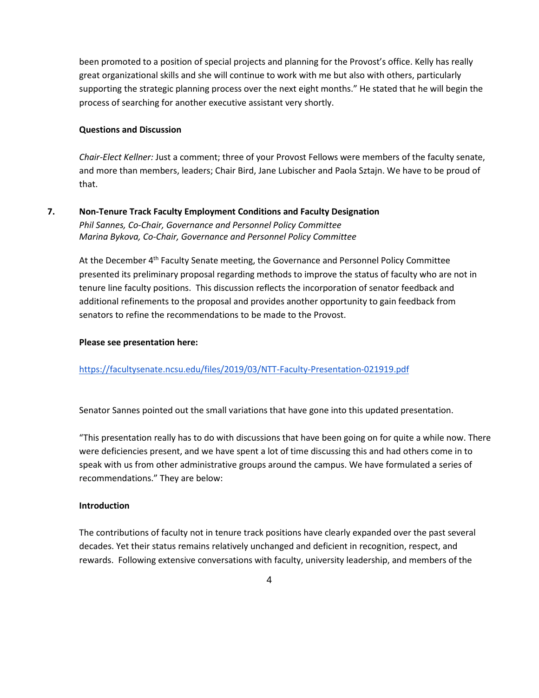been promoted to a position of special projects and planning for the Provost's office. Kelly has really great organizational skills and she will continue to work with me but also with others, particularly supporting the strategic planning process over the next eight months." He stated that he will begin the process of searching for another executive assistant very shortly.

## **Questions and Discussion**

*Chair-Elect Kellner:* Just a comment; three of your Provost Fellows were members of the faculty senate, and more than members, leaders; Chair Bird, Jane Lubischer and Paola Sztajn. We have to be proud of that.

# **7. Non-Tenure Track Faculty Employment Conditions and Faculty Designation** *Phil Sannes, Co-Chair, Governance and Personnel Policy Committee Marina Bykova, Co-Chair, Governance and Personnel Policy Committee*

At the December 4<sup>th</sup> Faculty Senate meeting, the Governance and Personnel Policy Committee presented its preliminary proposal regarding methods to improve the status of faculty who are not in tenure line faculty positions. This discussion reflects the incorporation of senator feedback and additional refinements to the proposal and provides another opportunity to gain feedback from senators to refine the recommendations to be made to the Provost.

## **Please see presentation here:**

# <https://facultysenate.ncsu.edu/files/2019/03/NTT-Faculty-Presentation-021919.pdf>

Senator Sannes pointed out the small variations that have gone into this updated presentation.

"This presentation really has to do with discussions that have been going on for quite a while now. There were deficiencies present, and we have spent a lot of time discussing this and had others come in to speak with us from other administrative groups around the campus. We have formulated a series of recommendations." They are below:

#### **Introduction**

The contributions of faculty not in tenure track positions have clearly expanded over the past several decades. Yet their status remains relatively unchanged and deficient in recognition, respect, and rewards. Following extensive conversations with faculty, university leadership, and members of the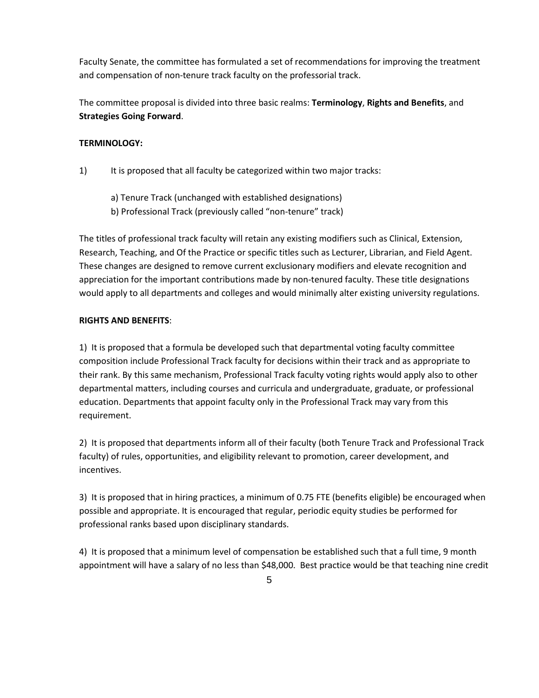Faculty Senate, the committee has formulated a set of recommendations for improving the treatment and compensation of non-tenure track faculty on the professorial track.

The committee proposal is divided into three basic realms: **Terminology**, **Rights and Benefits**, and **Strategies Going Forward**.

# **TERMINOLOGY:**

- 1) It is proposed that all faculty be categorized within two major tracks:
	- a) Tenure Track (unchanged with established designations)
	- b) Professional Track (previously called "non-tenure" track)

The titles of professional track faculty will retain any existing modifiers such as Clinical, Extension, Research, Teaching, and Of the Practice or specific titles such as Lecturer, Librarian, and Field Agent. These changes are designed to remove current exclusionary modifiers and elevate recognition and appreciation for the important contributions made by non-tenured faculty. These title designations would apply to all departments and colleges and would minimally alter existing university regulations.

# **RIGHTS AND BENEFITS**:

1) It is proposed that a formula be developed such that departmental voting faculty committee composition include Professional Track faculty for decisions within their track and as appropriate to their rank. By this same mechanism, Professional Track faculty voting rights would apply also to other departmental matters, including courses and curricula and undergraduate, graduate, or professional education. Departments that appoint faculty only in the Professional Track may vary from this requirement.

2) It is proposed that departments inform all of their faculty (both Tenure Track and Professional Track faculty) of rules, opportunities, and eligibility relevant to promotion, career development, and incentives.

3) It is proposed that in hiring practices, a minimum of 0.75 FTE (benefits eligible) be encouraged when possible and appropriate. It is encouraged that regular, periodic equity studies be performed for professional ranks based upon disciplinary standards.

4) It is proposed that a minimum level of compensation be established such that a full time, 9 month appointment will have a salary of no less than \$48,000. Best practice would be that teaching nine credit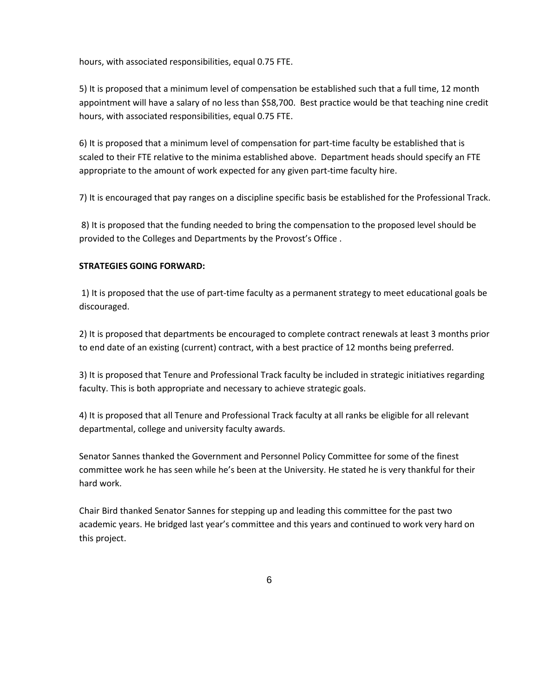hours, with associated responsibilities, equal 0.75 FTE.

5) It is proposed that a minimum level of compensation be established such that a full time, 12 month appointment will have a salary of no less than \$58,700. Best practice would be that teaching nine credit hours, with associated responsibilities, equal 0.75 FTE.

6) It is proposed that a minimum level of compensation for part-time faculty be established that is scaled to their FTE relative to the minima established above. Department heads should specify an FTE appropriate to the amount of work expected for any given part-time faculty hire.

7) It is encouraged that pay ranges on a discipline specific basis be established for the Professional Track.

8) It is proposed that the funding needed to bring the compensation to the proposed level should be provided to the Colleges and Departments by the Provost's Office .

## **STRATEGIES GOING FORWARD:**

1) It is proposed that the use of part-time faculty as a permanent strategy to meet educational goals be discouraged.

2) It is proposed that departments be encouraged to complete contract renewals at least 3 months prior to end date of an existing (current) contract, with a best practice of 12 months being preferred.

3) It is proposed that Tenure and Professional Track faculty be included in strategic initiatives regarding faculty. This is both appropriate and necessary to achieve strategic goals.

4) It is proposed that all Tenure and Professional Track faculty at all ranks be eligible for all relevant departmental, college and university faculty awards.

Senator Sannes thanked the Government and Personnel Policy Committee for some of the finest committee work he has seen while he's been at the University. He stated he is very thankful for their hard work.

Chair Bird thanked Senator Sannes for stepping up and leading this committee for the past two academic years. He bridged last year's committee and this years and continued to work very hard on this project.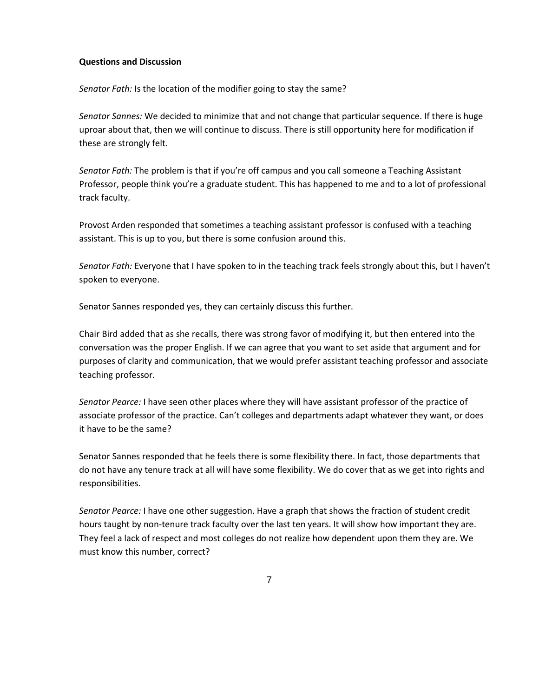#### **Questions and Discussion**

*Senator Fath:* Is the location of the modifier going to stay the same?

*Senator Sannes:* We decided to minimize that and not change that particular sequence. If there is huge uproar about that, then we will continue to discuss. There is still opportunity here for modification if these are strongly felt.

*Senator Fath:* The problem is that if you're off campus and you call someone a Teaching Assistant Professor, people think you're a graduate student. This has happened to me and to a lot of professional track faculty.

Provost Arden responded that sometimes a teaching assistant professor is confused with a teaching assistant. This is up to you, but there is some confusion around this.

*Senator Fath:* Everyone that I have spoken to in the teaching track feels strongly about this, but I haven't spoken to everyone.

Senator Sannes responded yes, they can certainly discuss this further.

Chair Bird added that as she recalls, there was strong favor of modifying it, but then entered into the conversation was the proper English. If we can agree that you want to set aside that argument and for purposes of clarity and communication, that we would prefer assistant teaching professor and associate teaching professor.

*Senator Pearce:* I have seen other places where they will have assistant professor of the practice of associate professor of the practice. Can't colleges and departments adapt whatever they want, or does it have to be the same?

Senator Sannes responded that he feels there is some flexibility there. In fact, those departments that do not have any tenure track at all will have some flexibility. We do cover that as we get into rights and responsibilities.

*Senator Pearce:* I have one other suggestion. Have a graph that shows the fraction of student credit hours taught by non-tenure track faculty over the last ten years. It will show how important they are. They feel a lack of respect and most colleges do not realize how dependent upon them they are. We must know this number, correct?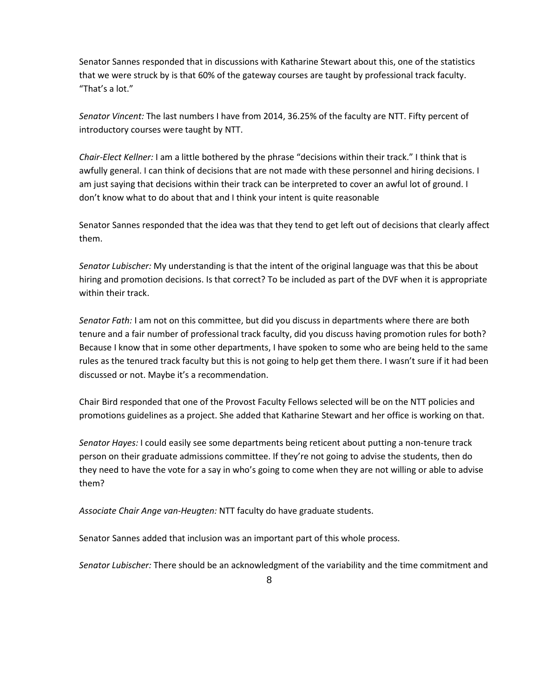Senator Sannes responded that in discussions with Katharine Stewart about this, one of the statistics that we were struck by is that 60% of the gateway courses are taught by professional track faculty. "That's a lot."

*Senator Vincent:* The last numbers I have from 2014, 36.25% of the faculty are NTT. Fifty percent of introductory courses were taught by NTT.

*Chair-Elect Kellner:* I am a little bothered by the phrase "decisions within their track." I think that is awfully general. I can think of decisions that are not made with these personnel and hiring decisions. I am just saying that decisions within their track can be interpreted to cover an awful lot of ground. I don't know what to do about that and I think your intent is quite reasonable

Senator Sannes responded that the idea was that they tend to get left out of decisions that clearly affect them.

*Senator Lubischer:* My understanding is that the intent of the original language was that this be about hiring and promotion decisions. Is that correct? To be included as part of the DVF when it is appropriate within their track.

*Senator Fath:* I am not on this committee, but did you discuss in departments where there are both tenure and a fair number of professional track faculty, did you discuss having promotion rules for both? Because I know that in some other departments, I have spoken to some who are being held to the same rules as the tenured track faculty but this is not going to help get them there. I wasn't sure if it had been discussed or not. Maybe it's a recommendation.

Chair Bird responded that one of the Provost Faculty Fellows selected will be on the NTT policies and promotions guidelines as a project. She added that Katharine Stewart and her office is working on that.

*Senator Hayes:* I could easily see some departments being reticent about putting a non-tenure track person on their graduate admissions committee. If they're not going to advise the students, then do they need to have the vote for a say in who's going to come when they are not willing or able to advise them?

*Associate Chair Ange van-Heugten:* NTT faculty do have graduate students.

Senator Sannes added that inclusion was an important part of this whole process.

*Senator Lubischer:* There should be an acknowledgment of the variability and the time commitment and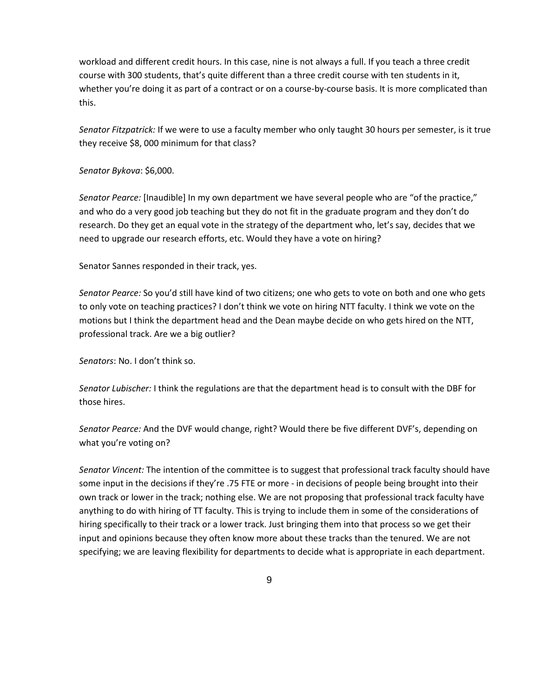workload and different credit hours. In this case, nine is not always a full. If you teach a three credit course with 300 students, that's quite different than a three credit course with ten students in it, whether you're doing it as part of a contract or on a course-by-course basis. It is more complicated than this.

*Senator Fitzpatrick:* If we were to use a faculty member who only taught 30 hours per semester, is it true they receive \$8, 000 minimum for that class?

*Senator Bykova*: \$6,000.

*Senator Pearce:* [Inaudible] In my own department we have several people who are "of the practice," and who do a very good job teaching but they do not fit in the graduate program and they don't do research. Do they get an equal vote in the strategy of the department who, let's say, decides that we need to upgrade our research efforts, etc. Would they have a vote on hiring?

Senator Sannes responded in their track, yes.

*Senator Pearce:* So you'd still have kind of two citizens; one who gets to vote on both and one who gets to only vote on teaching practices? I don't think we vote on hiring NTT faculty. I think we vote on the motions but I think the department head and the Dean maybe decide on who gets hired on the NTT, professional track. Are we a big outlier?

*Senators*: No. I don't think so.

*Senator Lubischer:* I think the regulations are that the department head is to consult with the DBF for those hires.

*Senator Pearce:* And the DVF would change, right? Would there be five different DVF's, depending on what you're voting on?

*Senator Vincent:* The intention of the committee is to suggest that professional track faculty should have some input in the decisions if they're .75 FTE or more - in decisions of people being brought into their own track or lower in the track; nothing else. We are not proposing that professional track faculty have anything to do with hiring of TT faculty. This is trying to include them in some of the considerations of hiring specifically to their track or a lower track. Just bringing them into that process so we get their input and opinions because they often know more about these tracks than the tenured. We are not specifying; we are leaving flexibility for departments to decide what is appropriate in each department.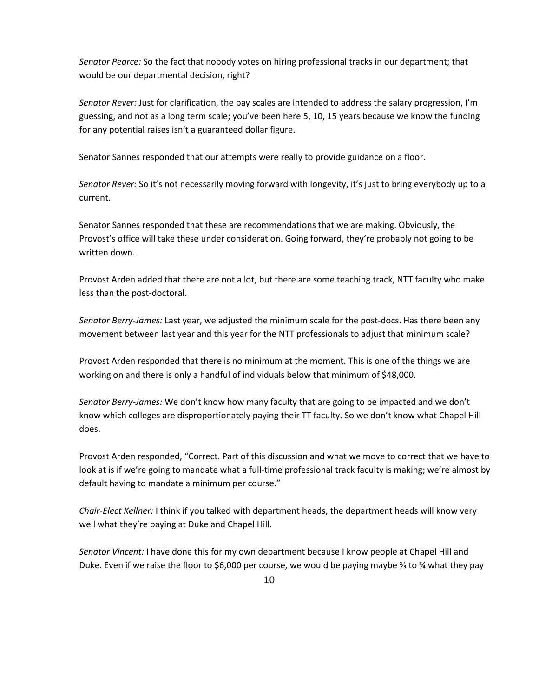*Senator Pearce:* So the fact that nobody votes on hiring professional tracks in our department; that would be our departmental decision, right?

*Senator Rever:* Just for clarification, the pay scales are intended to address the salary progression, I'm guessing, and not as a long term scale; you've been here 5, 10, 15 years because we know the funding for any potential raises isn't a guaranteed dollar figure.

Senator Sannes responded that our attempts were really to provide guidance on a floor.

*Senator Rever:* So it's not necessarily moving forward with longevity, it's just to bring everybody up to a current.

Senator Sannes responded that these are recommendations that we are making. Obviously, the Provost's office will take these under consideration. Going forward, they're probably not going to be written down.

Provost Arden added that there are not a lot, but there are some teaching track, NTT faculty who make less than the post-doctoral.

*Senator Berry-James:* Last year, we adjusted the minimum scale for the post-docs. Has there been any movement between last year and this year for the NTT professionals to adjust that minimum scale?

Provost Arden responded that there is no minimum at the moment. This is one of the things we are working on and there is only a handful of individuals below that minimum of \$48,000.

*Senator Berry-James:* We don't know how many faculty that are going to be impacted and we don't know which colleges are disproportionately paying their TT faculty. So we don't know what Chapel Hill does.

Provost Arden responded, "Correct. Part of this discussion and what we move to correct that we have to look at is if we're going to mandate what a full-time professional track faculty is making; we're almost by default having to mandate a minimum per course."

*Chair-Elect Kellner:* I think if you talked with department heads, the department heads will know very well what they're paying at Duke and Chapel Hill.

*Senator Vincent:* I have done this for my own department because I know people at Chapel Hill and Duke. Even if we raise the floor to \$6,000 per course, we would be paying maybe ⅔ to ¾ what they pay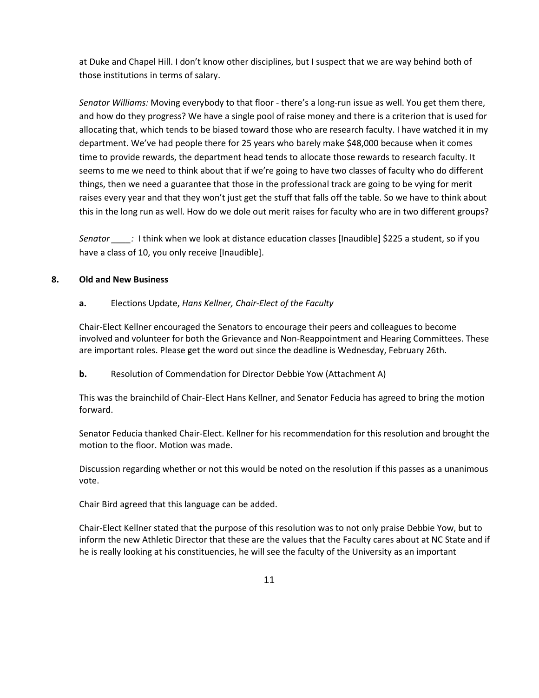at Duke and Chapel Hill. I don't know other disciplines, but I suspect that we are way behind both of those institutions in terms of salary.

*Senator Williams:* Moving everybody to that floor - there's a long-run issue as well. You get them there, and how do they progress? We have a single pool of raise money and there is a criterion that is used for allocating that, which tends to be biased toward those who are research faculty. I have watched it in my department. We've had people there for 25 years who barely make \$48,000 because when it comes time to provide rewards, the department head tends to allocate those rewards to research faculty. It seems to me we need to think about that if we're going to have two classes of faculty who do different things, then we need a guarantee that those in the professional track are going to be vying for merit raises every year and that they won't just get the stuff that falls off the table. So we have to think about this in the long run as well. How do we dole out merit raises for faculty who are in two different groups?

*Senator \_\_\_\_:* I think when we look at distance education classes [Inaudible] \$225 a student, so if you have a class of 10, you only receive [Inaudible].

## **8. Old and New Business**

# **a.** Elections Update, *Hans Kellner, Chair-Elect of the Faculty*

Chair-Elect Kellner encouraged the Senators to encourage their peers and colleagues to become involved and volunteer for both the Grievance and Non-Reappointment and Hearing Committees. These are important roles. Please get the word out since the deadline is Wednesday, February 26th.

# **b.** Resolution of Commendation for Director Debbie Yow (Attachment A)

This was the brainchild of Chair-Elect Hans Kellner, and Senator Feducia has agreed to bring the motion forward.

Senator Feducia thanked Chair-Elect. Kellner for his recommendation for this resolution and brought the motion to the floor. Motion was made.

Discussion regarding whether or not this would be noted on the resolution if this passes as a unanimous vote.

Chair Bird agreed that this language can be added.

Chair-Elect Kellner stated that the purpose of this resolution was to not only praise Debbie Yow, but to inform the new Athletic Director that these are the values that the Faculty cares about at NC State and if he is really looking at his constituencies, he will see the faculty of the University as an important